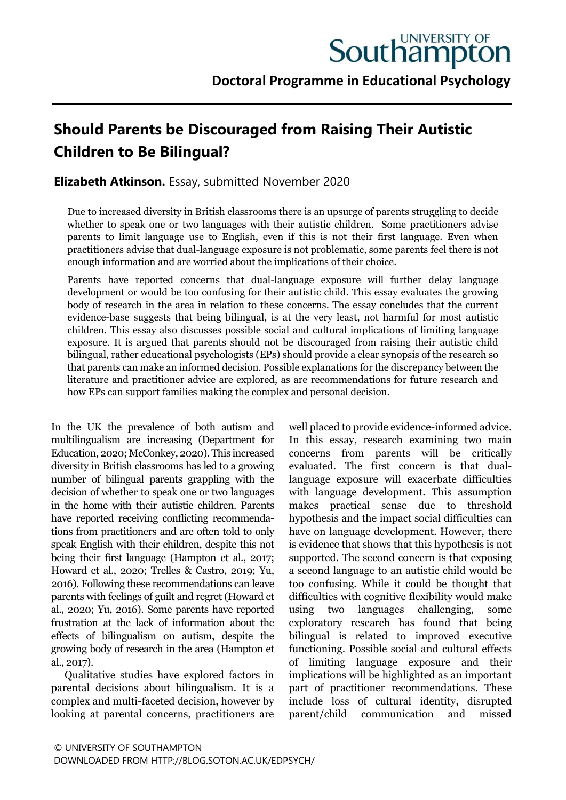# **Should Parents be Discouraged from Raising Their Autistic Children to Be Bilingual?**

# **Elizabeth Atkinson.** Essay, submitted November 2020

Due to increased diversity in British classrooms there is an upsurge of parents struggling to decide whether to speak one or two languages with their autistic children. Some practitioners advise parents to limit language use to English, even if this is not their first language. Even when practitioners advise that dual-language exposure is not problematic, some parents feel there is not enough information and are worried about the implications of their choice.

Parents have reported concerns that dual-language exposure will further delay language development or would be too confusing for their autistic child. This essay evaluates the growing body of research in the area in relation to these concerns. The essay concludes that the current evidence-base suggests that being bilingual, is at the very least, not harmful for most autistic children. This essay also discusses possible social and cultural implications of limiting language exposure. It is argued that parents should not be discouraged from raising their autistic child bilingual, rather educational psychologists (EPs) should provide a clear synopsis of the research so that parents can make an informed decision. Possible explanations for the discrepancy between the literature and practitioner advice are explored, as are recommendations for future research and how EPs can support families making the complex and personal decision.

In the UK the prevalence of both autism and multilingualism are increasing (Department for Education, 2020; McConkey, 2020). This increased diversity in British classrooms has led to a growing number of bilingual parents grappling with the decision of whether to speak one or two languages in the home with their autistic children. Parents have reported receiving conflicting recommendations from practitioners and are often told to only speak English with their children, despite this not being their first language (Hampton et al., 2017; Howard et al., 2020; Trelles & Castro, 2019; Yu, 2016). Following these recommendations can leave parents with feelings of guilt and regret (Howard et al., 2020; Yu, 2016). Some parents have reported frustration at the lack of information about the effects of bilingualism on autism, despite the growing body of research in the area (Hampton et al., 2017).

Qualitative studies have explored factors in parental decisions about bilingualism. It is a complex and multi-faceted decision, however by looking at parental concerns, practitioners are well placed to provide evidence-informed advice. In this essay, research examining two main concerns from parents will be critically evaluated. The first concern is that duallanguage exposure will exacerbate difficulties with language development. This assumption makes practical sense due to threshold hypothesis and the impact social difficulties can have on language development. However, there is evidence that shows that this hypothesis is not supported. The second concern is that exposing a second language to an autistic child would be too confusing. While it could be thought that difficulties with cognitive flexibility would make using two languages challenging, some exploratory research has found that being bilingual is related to improved executive functioning. Possible social and cultural effects of limiting language exposure and their implications will be highlighted as an important part of practitioner recommendations. These include loss of cultural identity, disrupted parent/child communication and missed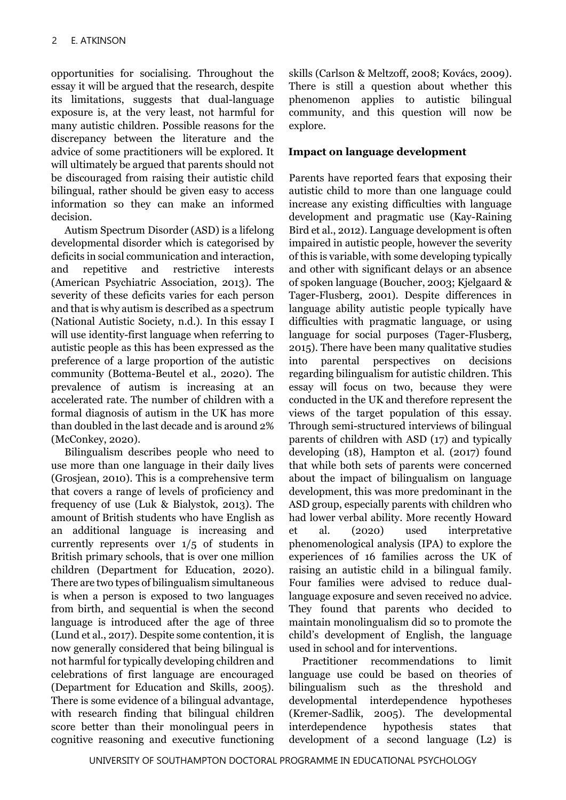opportunities for socialising. Throughout the essay it will be argued that the research, despite its limitations, suggests that dual-language exposure is, at the very least, not harmful for many autistic children. Possible reasons for the discrepancy between the literature and the advice of some practitioners will be explored. It will ultimately be argued that parents should not be discouraged from raising their autistic child bilingual, rather should be given easy to access information so they can make an informed decision.

Autism Spectrum Disorder (ASD) is a lifelong developmental disorder which is categorised by deficits in social communication and interaction, and repetitive and restrictive interests (American Psychiatric Association, 2013). The severity of these deficits varies for each person and that is why autism is described as a spectrum (National Autistic Society, n.d.). In this essay I will use identity-first language when referring to autistic people as this has been expressed as the preference of a large proportion of the autistic community (Bottema-Beutel et al., 2020). The prevalence of autism is increasing at an accelerated rate. The number of children with a formal diagnosis of autism in the UK has more than doubled in the last decade and is around 2% (McConkey, 2020).

Bilingualism describes people who need to use more than one language in their daily lives (Grosjean, 2010). This is a comprehensive term that covers a range of levels of proficiency and frequency of use (Luk & Bialystok, 2013). The amount of British students who have English as an additional language is increasing and currently represents over 1/5 of students in British primary schools, that is over one million children (Department for Education, 2020). There are two types of bilingualism simultaneous is when a person is exposed to two languages from birth, and sequential is when the second language is introduced after the age of three (Lund et al., 2017). Despite some contention, it is now generally considered that being bilingual is not harmful for typically developing children and celebrations of first language are encouraged (Department for Education and Skills, 2005). There is some evidence of a bilingual advantage, with research finding that bilingual children score better than their monolingual peers in cognitive reasoning and executive functioning

skills (Carlson & Meltzoff, 2008; Kovács, 2009). There is still a question about whether this phenomenon applies to autistic bilingual community, and this question will now be explore.

#### **Impact on language development**

Parents have reported fears that exposing their autistic child to more than one language could increase any existing difficulties with language development and pragmatic use (Kay-Raining Bird et al., 2012). Language development is often impaired in autistic people, however the severity of this is variable, with some developing typically and other with significant delays or an absence of spoken language (Boucher, 2003; Kjelgaard & Tager-Flusberg, 2001). Despite differences in language ability autistic people typically have difficulties with pragmatic language, or using language for social purposes (Tager-Flusberg, 2015). There have been many qualitative studies into parental perspectives on decisions regarding bilingualism for autistic children. This essay will focus on two, because they were conducted in the UK and therefore represent the views of the target population of this essay. Through semi-structured interviews of bilingual parents of children with ASD (17) and typically developing (18), Hampton et al. (2017) found that while both sets of parents were concerned about the impact of bilingualism on language development, this was more predominant in the ASD group, especially parents with children who had lower verbal ability. More recently Howard et al. (2020) used interpretative phenomenological analysis (IPA) to explore the experiences of 16 families across the UK of raising an autistic child in a bilingual family. Four families were advised to reduce duallanguage exposure and seven received no advice. They found that parents who decided to maintain monolingualism did so to promote the child's development of English, the language used in school and for interventions.

Practitioner recommendations to limit language use could be based on theories of bilingualism such as the threshold and developmental interdependence hypotheses (Kremer-Sadlik, 2005). The developmental interdependence hypothesis states that development of a second language (L2) is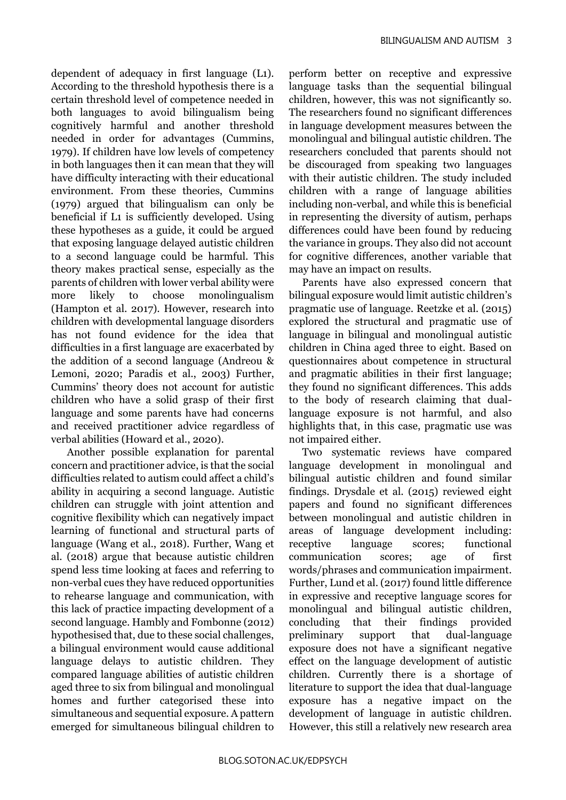dependent of adequacy in first language (L1). According to the threshold hypothesis there is a certain threshold level of competence needed in both languages to avoid bilingualism being cognitively harmful and another threshold needed in order for advantages (Cummins, 1979). If children have low levels of competency in both languages then it can mean that they will have difficulty interacting with their educational environment. From these theories, Cummins (1979) argued that bilingualism can only be beneficial if L1 is sufficiently developed. Using these hypotheses as a guide, it could be argued that exposing language delayed autistic children to a second language could be harmful. This theory makes practical sense, especially as the parents of children with lower verbal ability were more likely to choose monolingualism (Hampton et al. 2017). However, research into children with developmental language disorders has not found evidence for the idea that difficulties in a first language are exacerbated by the addition of a second language (Andreou & Lemoni, 2020; Paradis et al., 2003) Further, Cummins' theory does not account for autistic children who have a solid grasp of their first language and some parents have had concerns and received practitioner advice regardless of verbal abilities (Howard et al., 2020).

Another possible explanation for parental concern and practitioner advice, is that the social difficulties related to autism could affect a child's ability in acquiring a second language. Autistic children can struggle with joint attention and cognitive flexibility which can negatively impact learning of functional and structural parts of language (Wang et al., 2018). Further, Wang et al. (2018) argue that because autistic children spend less time looking at faces and referring to non-verbal cues they have reduced opportunities to rehearse language and communication, with this lack of practice impacting development of a second language. Hambly and Fombonne (2012) hypothesised that, due to these social challenges, a bilingual environment would cause additional language delays to autistic children. They compared language abilities of autistic children aged three to six from bilingual and monolingual homes and further categorised these into simultaneous and sequential exposure. A pattern emerged for simultaneous bilingual children to

perform better on receptive and expressive language tasks than the sequential bilingual children, however, this was not significantly so. The researchers found no significant differences in language development measures between the monolingual and bilingual autistic children. The researchers concluded that parents should not be discouraged from speaking two languages with their autistic children. The study included children with a range of language abilities including non-verbal, and while this is beneficial in representing the diversity of autism, perhaps differences could have been found by reducing the variance in groups. They also did not account for cognitive differences, another variable that may have an impact on results.

Parents have also expressed concern that bilingual exposure would limit autistic children's pragmatic use of language. Reetzke et al. (2015) explored the structural and pragmatic use of language in bilingual and monolingual autistic children in China aged three to eight. Based on questionnaires about competence in structural and pragmatic abilities in their first language; they found no significant differences. This adds to the body of research claiming that duallanguage exposure is not harmful, and also highlights that, in this case, pragmatic use was not impaired either.

Two systematic reviews have compared language development in monolingual and bilingual autistic children and found similar findings. Drysdale et al. (2015) reviewed eight papers and found no significant differences between monolingual and autistic children in areas of language development including: receptive language scores; functional communication scores; age of first words/phrases and communication impairment. Further, Lund et al. (2017) found little difference in expressive and receptive language scores for monolingual and bilingual autistic children, concluding that their findings provided preliminary support that dual-language exposure does not have a significant negative effect on the language development of autistic children. Currently there is a shortage of literature to support the idea that dual-language exposure has a negative impact on the development of language in autistic children. However, this still a relatively new research area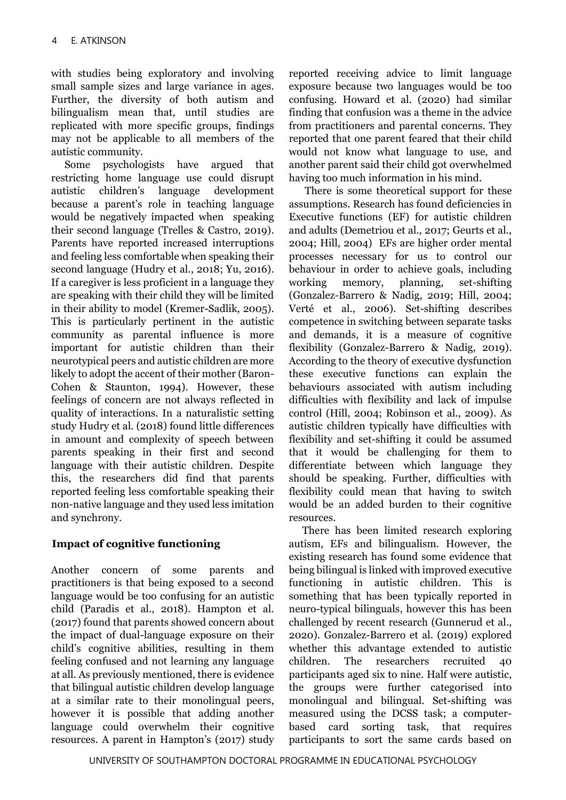with studies being exploratory and involving small sample sizes and large variance in ages. Further, the diversity of both autism and bilingualism mean that, until studies are replicated with more specific groups, findings may not be applicable to all members of the autistic community.

Some psychologists have argued that restricting home language use could disrupt autistic children's language development because a parent's role in teaching language would be negatively impacted when speaking their second language (Trelles & Castro, 2019). Parents have reported increased interruptions and feeling less comfortable when speaking their second language (Hudry et al., 2018; Yu, 2016). If a caregiver is less proficient in a language they are speaking with their child they will be limited in their ability to model (Kremer-Sadlik, 2005). This is particularly pertinent in the autistic community as parental influence is more important for autistic children than their neurotypical peers and autistic children are more likely to adopt the accent of their mother (Baron-Cohen & Staunton, 1994). However, these feelings of concern are not always reflected in quality of interactions. In a naturalistic setting study Hudry et al. (2018) found little differences in amount and complexity of speech between parents speaking in their first and second language with their autistic children. Despite this, the researchers did find that parents reported feeling less comfortable speaking their non-native language and they used less imitation and synchrony.

## **Impact of cognitive functioning**

Another concern of some parents and practitioners is that being exposed to a second language would be too confusing for an autistic child (Paradis et al., 2018). Hampton et al. (2017) found that parents showed concern about the impact of dual-language exposure on their child's cognitive abilities, resulting in them feeling confused and not learning any language at all. As previously mentioned, there is evidence that bilingual autistic children develop language at a similar rate to their monolingual peers, however it is possible that adding another language could overwhelm their cognitive resources. A parent in Hampton's (2017) study

reported receiving advice to limit language exposure because two languages would be too confusing. Howard et al. (2020) had similar finding that confusion was a theme in the advice from practitioners and parental concerns. They reported that one parent feared that their child would not know what language to use, and another parent said their child got overwhelmed having too much information in his mind.

There is some theoretical support for these assumptions. Research has found deficiencies in Executive functions (EF) for autistic children and adults (Demetriou et al., 2017; Geurts et al., 2004; Hill, 2004) EFs are higher order mental processes necessary for us to control our behaviour in order to achieve goals, including working memory, planning, set-shifting (Gonzalez-Barrero & Nadig, 2019; Hill, 2004; Verté et al., 2006). Set-shifting describes competence in switching between separate tasks and demands, it is a measure of cognitive flexibility (Gonzalez-Barrero & Nadig, 2019). According to the theory of executive dysfunction these executive functions can explain the behaviours associated with autism including difficulties with flexibility and lack of impulse control (Hill, 2004; Robinson et al., 2009). As autistic children typically have difficulties with flexibility and set-shifting it could be assumed that it would be challenging for them to differentiate between which language they should be speaking. Further, difficulties with flexibility could mean that having to switch would be an added burden to their cognitive resources.

There has been limited research exploring autism, EFs and bilingualism. However, the existing research has found some evidence that being bilingual is linked with improved executive functioning in autistic children. This is something that has been typically reported in neuro-typical bilinguals, however this has been challenged by recent research (Gunnerud et al., 2020). Gonzalez-Barrero et al. (2019) explored whether this advantage extended to autistic children. The researchers recruited 40 participants aged six to nine. Half were autistic, the groups were further categorised into monolingual and bilingual. Set-shifting was measured using the DCSS task; a computerbased card sorting task, that requires participants to sort the same cards based on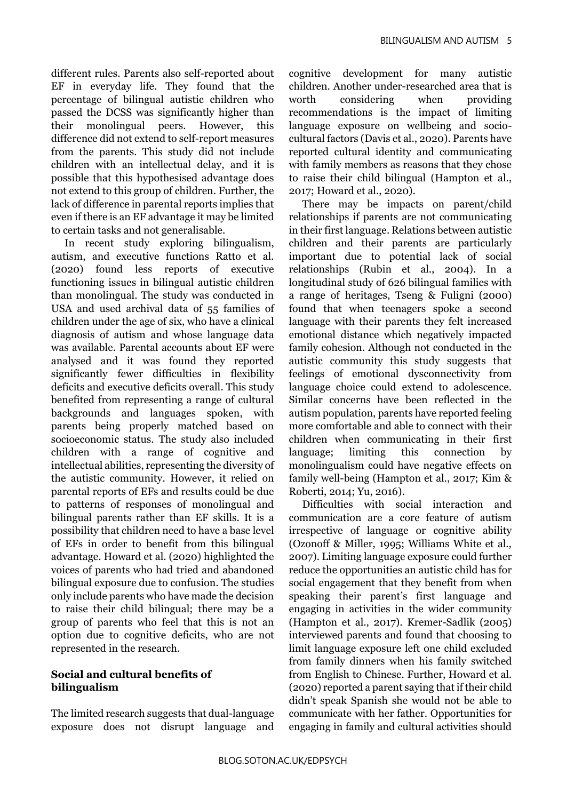different rules. Parents also self-reported about EF in everyday life. They found that the percentage of bilingual autistic children who passed the DCSS was significantly higher than their monolingual peers. However, this difference did not extend to self-report measures from the parents. This study did not include children with an intellectual delay, and it is possible that this hypothesised advantage does not extend to this group of children. Further, the lack of difference in parental reports implies that even if there is an EF advantage it may be limited to certain tasks and not generalisable.

In recent study exploring bilingualism, autism, and executive functions Ratto et al. (2020) found less reports of executive functioning issues in bilingual autistic children than monolingual. The study was conducted in USA and used archival data of 55 families of children under the age of six, who have a clinical diagnosis of autism and whose language data was available. Parental accounts about EF were analysed and it was found they reported significantly fewer difficulties in flexibility deficits and executive deficits overall. This study benefited from representing a range of cultural backgrounds and languages spoken, with parents being properly matched based on socioeconomic status. The study also included children with a range of cognitive and intellectual abilities, representing the diversity of the autistic community. However, it relied on parental reports of EFs and results could be due to patterns of responses of monolingual and bilingual parents rather than EF skills. It is a possibility that children need to have a base level of EFs in order to benefit from this bilingual advantage. Howard et al. (2020) highlighted the voices of parents who had tried and abandoned bilingual exposure due to confusion. The studies only include parents who have made the decision to raise their child bilingual; there may be a group of parents who feel that this is not an option due to cognitive deficits, who are not represented in the research.

#### **Social and cultural benefits of bilingualism**

The limited research suggests that dual-language exposure does not disrupt language and cognitive development for many autistic children. Another under-researched area that is worth considering when providing recommendations is the impact of limiting language exposure on wellbeing and sociocultural factors (Davis et al., 2020). Parents have reported cultural identity and communicating with family members as reasons that they chose to raise their child bilingual (Hampton et al., 2017; Howard et al., 2020).

There may be impacts on parent/child relationships if parents are not communicating in their first language. Relations between autistic children and their parents are particularly important due to potential lack of social relationships (Rubin et al., 2004). In a longitudinal study of 626 bilingual families with a range of heritages, Tseng & Fuligni (2000) found that when teenagers spoke a second language with their parents they felt increased emotional distance which negatively impacted family cohesion. Although not conducted in the autistic community this study suggests that feelings of emotional dysconnectivity from language choice could extend to adolescence. Similar concerns have been reflected in the autism population, parents have reported feeling more comfortable and able to connect with their children when communicating in their first language; limiting this connection by monolingualism could have negative effects on family well-being (Hampton et al., 2017; Kim & Roberti, 2014; Yu, 2016).

Difficulties with social interaction and communication are a core feature of autism irrespective of language or cognitive ability (Ozonoff & Miller, 1995; Williams White et al., 2007). Limiting language exposure could further reduce the opportunities an autistic child has for social engagement that they benefit from when speaking their parent's first language and engaging in activities in the wider community (Hampton et al., 2017). Kremer-Sadlik (2005) interviewed parents and found that choosing to limit language exposure left one child excluded from family dinners when his family switched from English to Chinese. Further, Howard et al. (2020) reported a parent saying that if their child didn't speak Spanish she would not be able to communicate with her father. Opportunities for engaging in family and cultural activities should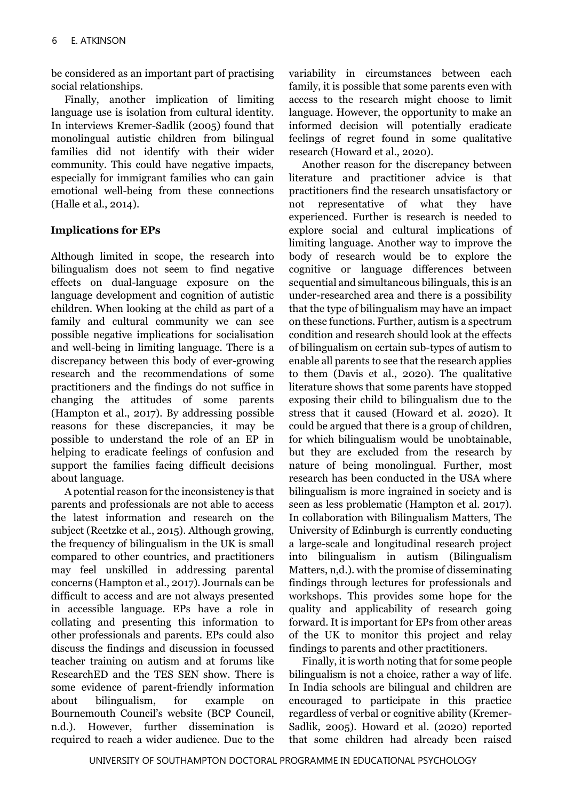be considered as an important part of practising social relationships.

Finally, another implication of limiting language use is isolation from cultural identity. In interviews Kremer-Sadlik (2005) found that monolingual autistic children from bilingual families did not identify with their wider community. This could have negative impacts, especially for immigrant families who can gain emotional well-being from these connections (Halle et al., 2014).

## **Implications for EPs**

Although limited in scope, the research into bilingualism does not seem to find negative effects on dual-language exposure on the language development and cognition of autistic children. When looking at the child as part of a family and cultural community we can see possible negative implications for socialisation and well-being in limiting language. There is a discrepancy between this body of ever-growing research and the recommendations of some practitioners and the findings do not suffice in changing the attitudes of some parents (Hampton et al., 2017). By addressing possible reasons for these discrepancies, it may be possible to understand the role of an EP in helping to eradicate feelings of confusion and support the families facing difficult decisions about language.

A potential reason for the inconsistency is that parents and professionals are not able to access the latest information and research on the subject (Reetzke et al., 2015). Although growing, the frequency of bilingualism in the UK is small compared to other countries, and practitioners may feel unskilled in addressing parental concerns (Hampton et al., 2017). Journals can be difficult to access and are not always presented in accessible language. EPs have a role in collating and presenting this information to other professionals and parents. EPs could also discuss the findings and discussion in focussed teacher training on autism and at forums like ResearchED and the TES SEN show. There is some evidence of parent-friendly information about bilingualism, for example on Bournemouth Council's website (BCP Council, n.d.). However, further dissemination is required to reach a wider audience. Due to the

variability in circumstances between each family, it is possible that some parents even with access to the research might choose to limit language. However, the opportunity to make an informed decision will potentially eradicate feelings of regret found in some qualitative research (Howard et al., 2020).

Another reason for the discrepancy between literature and practitioner advice is that practitioners find the research unsatisfactory or not representative of what they have experienced. Further is research is needed to explore social and cultural implications of limiting language. Another way to improve the body of research would be to explore the cognitive or language differences between sequential and simultaneous bilinguals, this is an under-researched area and there is a possibility that the type of bilingualism may have an impact on these functions. Further, autism is a spectrum condition and research should look at the effects of bilingualism on certain sub-types of autism to enable all parents to see that the research applies to them (Davis et al., 2020). The qualitative literature shows that some parents have stopped exposing their child to bilingualism due to the stress that it caused (Howard et al. 2020). It could be argued that there is a group of children, for which bilingualism would be unobtainable, but they are excluded from the research by nature of being monolingual. Further, most research has been conducted in the USA where bilingualism is more ingrained in society and is seen as less problematic (Hampton et al. 2017). In collaboration with Bilingualism Matters, The University of Edinburgh is currently conducting a large-scale and longitudinal research project into bilingualism in autism (Bilingualism Matters, n,d.). with the promise of disseminating findings through lectures for professionals and workshops. This provides some hope for the quality and applicability of research going forward. It is important for EPs from other areas of the UK to monitor this project and relay findings to parents and other practitioners.

Finally, it is worth noting that for some people bilingualism is not a choice, rather a way of life. In India schools are bilingual and children are encouraged to participate in this practice regardless of verbal or cognitive ability (Kremer-Sadlik, 2005). Howard et al. (2020) reported that some children had already been raised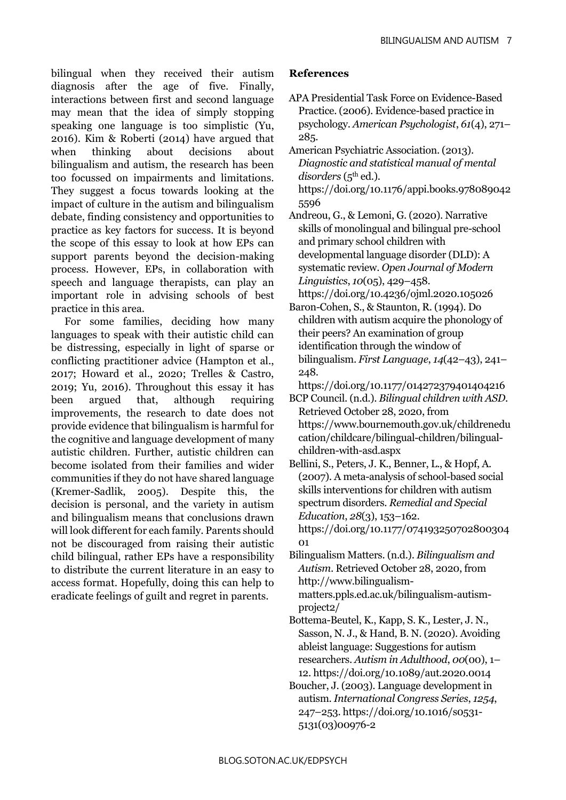bilingual when they received their autism diagnosis after the age of five. Finally, interactions between first and second language may mean that the idea of simply stopping speaking one language is too simplistic (Yu, 2016). Kim & Roberti (2014) have argued that when thinking about decisions about bilingualism and autism, the research has been too focussed on impairments and limitations. They suggest a focus towards looking at the impact of culture in the autism and bilingualism debate, finding consistency and opportunities to practice as key factors for success. It is beyond the scope of this essay to look at how EPs can support parents beyond the decision-making process. However, EPs, in collaboration with speech and language therapists, can play an important role in advising schools of best practice in this area.

For some families, deciding how many languages to speak with their autistic child can be distressing, especially in light of sparse or conflicting practitioner advice (Hampton et al., 2017; Howard et al., 2020; Trelles & Castro, 2019; Yu, 2016). Throughout this essay it has been argued that, although requiring improvements, the research to date does not provide evidence that bilingualism is harmful for the cognitive and language development of many autistic children. Further, autistic children can become isolated from their families and wider communities if they do not have shared language (Kremer-Sadlik, 2005). Despite this, the decision is personal, and the variety in autism and bilingualism means that conclusions drawn will look different for each family. Parents should not be discouraged from raising their autistic child bilingual, rather EPs have a responsibility to distribute the current literature in an easy to access format. Hopefully, doing this can help to eradicate feelings of guilt and regret in parents.

## **References**

- APA Presidential Task Force on Evidence-Based Practice. (2006). Evidence-based practice in psychology. *American Psychologist*, *61*(4), 271– 285.
- American Psychiatric Association. (2013). *Diagnostic and statistical manual of mental*  disorders (5<sup>th</sup> ed.). [https://doi.org/10.1176/appi.books.978089042](https://doi.org/10.1176/appi.books.9780890425596) [5596](https://doi.org/10.1176/appi.books.9780890425596)
- Andreou, G., & Lemoni, G. (2020). Narrative skills of monolingual and bilingual pre-school and primary school children with developmental language disorder (DLD): A systematic review. *Open Journal of Modern Linguistics*, *10*(05), 429–458. <https://doi.org/10.4236/ojml.2020.105026>
- Baron-Cohen, S., & Staunton, R. (1994). Do children with autism acquire the phonology of their peers? An examination of group identification through the window of bilingualism. *First Language*, *14*(42–43), 241– 248.

<https://doi.org/10.1177/014272379401404216> BCP Council. (n.d.). *Bilingual children with ASD*.

- Retrieved October 28, 2020, from [https://www.bournemouth.gov.uk/childrenedu](https://www.bournemouth.gov.uk/childreneducation/childcare/bilingual-children/bilingual-children-with-asd.aspx) [cation/childcare/bilingual-children/bilingual](https://www.bournemouth.gov.uk/childreneducation/childcare/bilingual-children/bilingual-children-with-asd.aspx)[children-with-asd.aspx](https://www.bournemouth.gov.uk/childreneducation/childcare/bilingual-children/bilingual-children-with-asd.aspx)
- Bellini, S., Peters, J. K., Benner, L., & Hopf, A. (2007). A meta-analysis of school-based social skills interventions for children with autism spectrum disorders. *Remedial and Special Education*, *28*(3), 153–162. [https://doi.org/10.1177/074193250702800304](https://doi.org/10.1177/07419325070280030401) [01](https://doi.org/10.1177/07419325070280030401)
- Bilingualism Matters. (n.d.). *Bilingualism and Autism*. Retrieved October 28, 2020, from [http://www.bilingualism](http://www.bilingualism-matters.ppls.ed.ac.uk/bilingualism-autism-project2/)[matters.ppls.ed.ac.uk/bilingualism-autism](http://www.bilingualism-matters.ppls.ed.ac.uk/bilingualism-autism-project2/)[project2/](http://www.bilingualism-matters.ppls.ed.ac.uk/bilingualism-autism-project2/)
- Bottema-Beutel, K., Kapp, S. K., Lester, J. N., Sasson, N. J., & Hand, B. N. (2020). Avoiding ableist language: Suggestions for autism researchers. *Autism in Adulthood*, *00*(00), 1– 12[. https://doi.org/10.1089/aut.2020.0014](https://doi.org/10.1089/aut.2020.0014)
- Boucher, J. (2003). Language development in autism. *International Congress Series*, *1254*, 247–253[. https://doi.org/10.1016/s0531-](https://doi.org/10.1016/s0531-5131(03)00976-2) [5131\(03\)00976-2](https://doi.org/10.1016/s0531-5131(03)00976-2)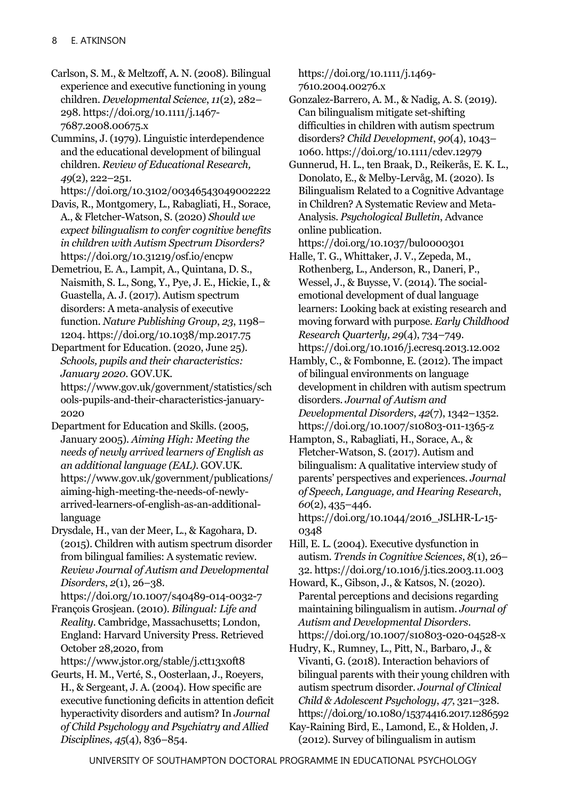Carlson, S. M., & Meltzoff, A. N. (2008). Bilingual experience and executive functioning in young children. *Developmental Science*, *11*(2), 282– 298[. https://doi.org/10.1111/j.1467-](https://doi.org/10.1111/j.1467-7687.2008.00675.x) [7687.2008.00675.x](https://doi.org/10.1111/j.1467-7687.2008.00675.x)

Cummins, J. (1979). Linguistic interdependence and the educational development of bilingual children. *Review of Educational Research, 49*(2), 222–251.

<https://doi.org/10.3102/00346543049002222>

Davis, R., Montgomery, L., Rabagliati, H., Sorace, A., & Fletcher-Watson, S. (2020) *Should we expect bilingualism to confer cognitive benefits in children with Autism Spectrum Disorders?* <https://doi.org/10.31219/osf.io/encpw>

Demetriou, E. A., Lampit, A., Quintana, D. S., Naismith, S. L., Song, Y., Pye, J. E., Hickie, I., & Guastella, A. J. (2017). Autism spectrum disorders: A meta-analysis of executive function. *Nature Publishing Group*, *23*, 1198– 1204.<https://doi.org/10.1038/mp.2017.75>

Department for Education. (2020, June 25). *Schools, pupils and their characteristics: January 2020.* GOV.UK. [https://www.gov.uk/government/statistics/sch](https://www.gov.uk/government/statistics/schools-pupils-and-their-characteristics-january-2020)

[ools-pupils-and-their-characteristics-january-](https://www.gov.uk/government/statistics/schools-pupils-and-their-characteristics-january-2020)[2020](https://www.gov.uk/government/statistics/schools-pupils-and-their-characteristics-january-2020)

Department for Education and Skills. (2005, January 2005). *Aiming High: Meeting the needs of newly arrived learners of English as an additional language (EAL)*. GOV.UK. [https://www.gov.uk/government/publications/](https://www.gov.uk/government/publications/aiming-high-meeting-the-needs-of-newly-arrived-learners-of-english-as-an-additional-language) [aiming-high-meeting-the-needs-of-newly](https://www.gov.uk/government/publications/aiming-high-meeting-the-needs-of-newly-arrived-learners-of-english-as-an-additional-language)[arrived-learners-of-english-as-an-additional](https://www.gov.uk/government/publications/aiming-high-meeting-the-needs-of-newly-arrived-learners-of-english-as-an-additional-language)[language](https://www.gov.uk/government/publications/aiming-high-meeting-the-needs-of-newly-arrived-learners-of-english-as-an-additional-language)

Drysdale, H., van der Meer, L., & Kagohara, D. (2015). Children with autism spectrum disorder from bilingual families: A systematic review. *Review Journal of Autism and Developmental Disorders*, *2*(1), 26–38.

<https://doi.org/10.1007/s40489-014-0032-7> François Grosjean. (2010). *Bilingual: Life and Reality*. Cambridge, Massachusetts; London, England: Harvard University Press. Retrieved October 28,2020, from

<https://www.jstor.org/stable/j.ctt13x0ft8>

Geurts, H. M., Verté, S., Oosterlaan, J., Roeyers, H., & Sergeant, J. A. (2004). How specific are executive functioning deficits in attention deficit hyperactivity disorders and autism? In *Journal of Child Psychology and Psychiatry and Allied Disciplines*, *45*(4), 836–854.

[https://doi.org/10.1111/j.1469-](https://doi.org/10.1111/j.1469-7610.2004.00276.x) [7610.2004.00276.x](https://doi.org/10.1111/j.1469-7610.2004.00276.x)

Gonzalez-Barrero, A. M., & Nadig, A. S. (2019). Can bilingualism mitigate set-shifting difficulties in children with autism spectrum disorders? *Child Development*, *90*(4), 1043– 1060.<https://doi.org/10.1111/cdev.12979>

Gunnerud, H. L., ten Braak, D., Reikerås, E. K. L., Donolato, E., & Melby-Lervåg, M. (2020). Is Bilingualism Related to a Cognitive Advantage in Children? A Systematic Review and Meta-Analysis. *Psychological Bulletin*, Advance online publication. <https://doi.org/10.1037/bul0000301>

Halle, T. G., Whittaker, J. V., Zepeda, M., Rothenberg, L., Anderson, R., Daneri, P., Wessel, J., & Buysse, V. (2014). The socialemotional development of dual language learners: Looking back at existing research and moving forward with purpose. *Early Childhood Research Quarterly, 29*(4), 734–749. <https://doi.org/10.1016/j.ecresq.2013.12.002>

Hambly, C., & Fombonne, E. (2012). The impact of bilingual environments on language development in children with autism spectrum disorders. *Journal of Autism and Developmental Disorders*, *42*(7), 1342–1352. <https://doi.org/10.1007/s10803-011-1365-z>

Hampton, S., Rabagliati, H., Sorace, A., & Fletcher-Watson, S. (2017). Autism and bilingualism: A qualitative interview study of parents' perspectives and experiences. *Journal of Speech, Language, and Hearing Research*, *60*(2), 435–446. [https://doi.org/10.1044/2016\\_JSLHR-L-15-](https://doi.org/10.1044/2016_JSLHR-L-15-0348)

[0348](https://doi.org/10.1044/2016_JSLHR-L-15-0348)

Hill, E. L. (2004). Executive dysfunction in autism. *Trends in Cognitive Sciences*, *8*(1), 26– 32.<https://doi.org/10.1016/j.tics.2003.11.003>

Howard, K., Gibson, J., & Katsos, N. (2020). Parental perceptions and decisions regarding maintaining bilingualism in autism. *Journal of Autism and Developmental Disorders*. <https://doi.org/10.1007/s10803-020-04528-x>

Hudry, K., Rumney, L., Pitt, N., Barbaro, J., & Vivanti, G. (2018). Interaction behaviors of bilingual parents with their young children with autism spectrum disorder. *Journal of Clinical Child & Adolescent Psychology*, *47*, 321–328. <https://doi.org/10.1080/15374416.2017.1286592>

Kay-Raining Bird, E., Lamond, E., & Holden, J. (2012). Survey of bilingualism in autism

UNIVERSITY OF SOUTHAMPTON DOCTORAL PROGRAMME IN EDUCATIONAL PSYCHOLOGY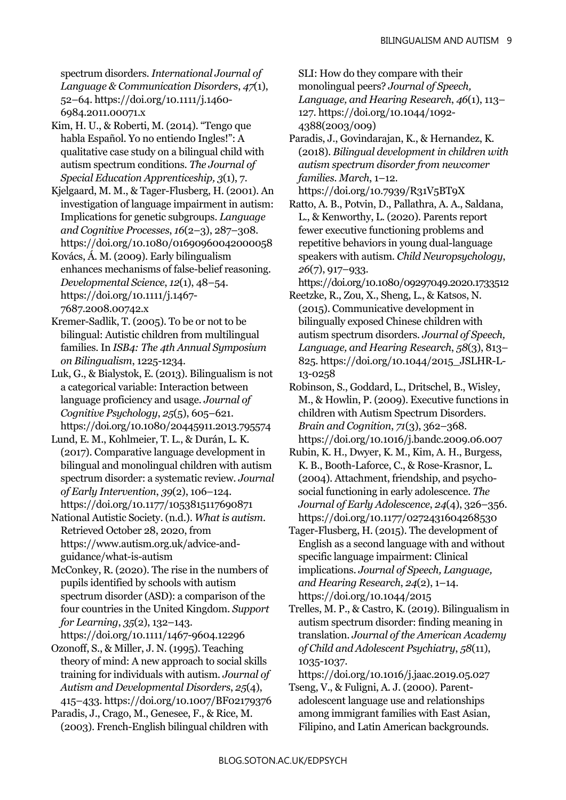spectrum disorders. *International Journal of Language & Communication Disorders*, *47*(1), 52–64[. https://doi.org/10.1111/j.1460-](https://doi.org/10.1111/j.1460-6984.2011.00071.x) [6984.2011.00071.x](https://doi.org/10.1111/j.1460-6984.2011.00071.x)

Kim, H. U., & Roberti, M. (2014). "Tengo que habla Español. Yo no entiendo Ingles!": A qualitative case study on a bilingual child with autism spectrum conditions. *The Journal of Special Education Apprenticeship, 3*(1), 7.

Kjelgaard, M. M., & Tager-Flusberg, H. (2001). An investigation of language impairment in autism: Implications for genetic subgroups. *Language and Cognitive Processes*, *16*(2–3), 287–308. <https://doi.org/10.1080/01690960042000058>

Kovács, Á. M. (2009). Early bilingualism enhances mechanisms of false-belief reasoning. *Developmental Science*, *12*(1), 48–54. [https://doi.org/10.1111/j.1467-](https://doi.org/10.1111/j.1467-7687.2008.00742.x) [7687.2008.00742.x](https://doi.org/10.1111/j.1467-7687.2008.00742.x)

Kremer-Sadlik, T. (2005). To be or not to be bilingual: Autistic children from multilingual families. In *ISB4: The 4th Annual Symposium on Bilingualism*, 1225-1234.

Luk, G., & Bialystok, E. (2013). Bilingualism is not a categorical variable: Interaction between language proficiency and usage. *Journal of Cognitive Psychology*, *25*(5), 605–621. <https://doi.org/10.1080/20445911.2013.795574>

Lund, E. M., Kohlmeier, T. L., & Durán, L. K. (2017). Comparative language development in bilingual and monolingual children with autism spectrum disorder: a systematic review. *Journal of Early Intervention*, *39*(2), 106–124. <https://doi.org/10.1177/1053815117690871>

National Autistic Society. (n.d.). *What is autism*. Retrieved October 28, 2020, from [https://www.autism.org.uk/advice-and](https://www.autism.org.uk/advice-and-guidance/what-is-autism)[guidance/what-is-autism](https://www.autism.org.uk/advice-and-guidance/what-is-autism)

McConkey, R. (2020). The rise in the numbers of pupils identified by schools with autism spectrum disorder (ASD): a comparison of the four countries in the United Kingdom. *Support for Learning*, *35*(2), 132–143.

```
https://doi.org/10.1111/1467-9604.12296
```
Ozonoff, S., & Miller, J. N. (1995). Teaching theory of mind: A new approach to social skills training for individuals with autism. *Journal of Autism and Developmental Disorders*, *25*(4), 415–433.<https://doi.org/10.1007/BF02179376>

Paradis, J., Crago, M., Genesee, F., & Rice, M. (2003). French-English bilingual children with SLI: How do they compare with their monolingual peers? *Journal of Speech, Language, and Hearing Research*, *46*(1), 113– 127. [https://doi.org/10.1044/1092-](https://doi.org/10.1044/1092-4388(2003/009)) [4388\(2003/009\)](https://doi.org/10.1044/1092-4388(2003/009))

Paradis, J., Govindarajan, K., & Hernandez, K. (2018). *Bilingual development in children with autism spectrum disorder from newcomer families*. *March*, 1–12.

<https://doi.org/10.7939/R31V5BT9X> Ratto, A. B., Potvin, D., Pallathra, A. A., Saldana, L., & Kenworthy, L. (2020). Parents report fewer executive functioning problems and repetitive behaviors in young dual-language speakers with autism. *Child Neuropsychology*,

*26*(7), 917–933. <https://doi.org/10.1080/09297049.2020.1733512>

Reetzke, R., Zou, X., Sheng, L., & Katsos, N. (2015). Communicative development in bilingually exposed Chinese children with autism spectrum disorders. *Journal of Speech, Language, and Hearing Research*, *58*(3), 813– 825. [https://doi.org/10.1044/2015\\_JSLHR-L-](https://doi.org/10.1044/2015_JSLHR-L-13-0258)[13-0258](https://doi.org/10.1044/2015_JSLHR-L-13-0258)

Robinson, S., Goddard, L., Dritschel, B., Wisley, M., & Howlin, P. (2009). Executive functions in children with Autism Spectrum Disorders. *Brain and Cognition*, *71*(3), 362–368. <https://doi.org/10.1016/j.bandc.2009.06.007>

Rubin, K. H., Dwyer, K. M., Kim, A. H., Burgess, K. B., Booth-Laforce, C., & Rose-Krasnor, L. (2004). Attachment, friendship, and psychosocial functioning in early adolescence. *The Journal of Early Adolescence*, *24*(4), 326–356. <https://doi.org/10.1177/0272431604268530>

Tager-Flusberg, H. (2015). The development of English as a second language with and without specific language impairment: Clinical implications. *Journal of Speech, Language, and Hearing Research*, *24*(2), 1–14. <https://doi.org/10.1044/2015>

Trelles, M. P., & Castro, K. (2019). Bilingualism in autism spectrum disorder: finding meaning in translation. *Journal of the American Academy of Child and Adolescent Psychiatry*, *58*(11), 1035-1037.

<https://doi.org/10.1016/j.jaac.2019.05.027>

Tseng, V., & Fuligni, A. J. (2000). Parentadolescent language use and relationships among immigrant families with East Asian, Filipino, and Latin American backgrounds.